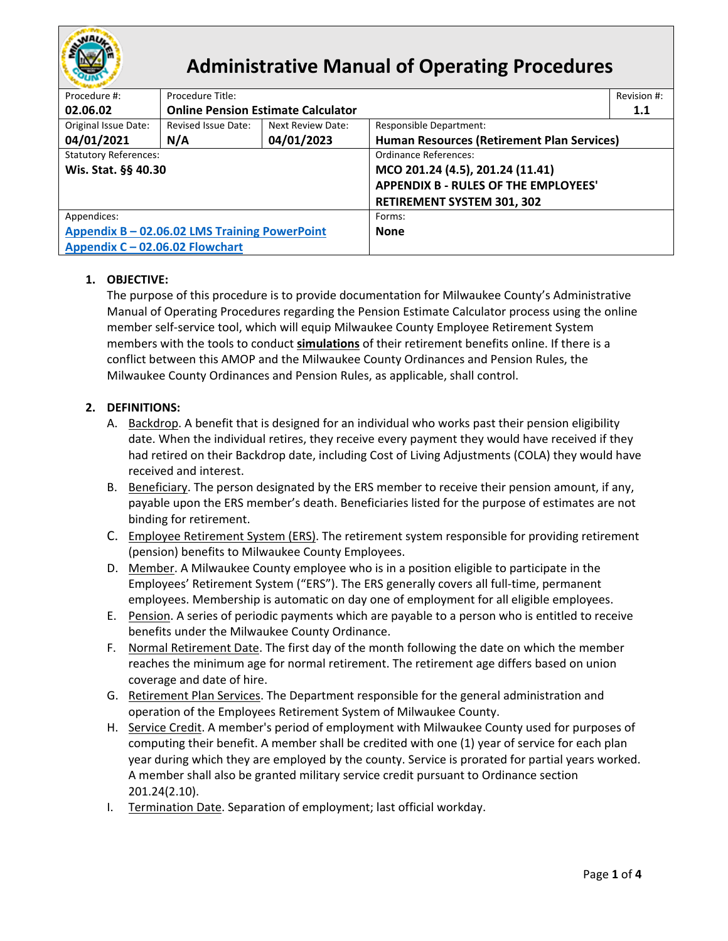

# **Administrative Manual of Operating Procedures**

| Procedure #:                                  | Procedure Title:                          |                   |                                             | Revision #: |  |
|-----------------------------------------------|-------------------------------------------|-------------------|---------------------------------------------|-------------|--|
| 02.06.02                                      | <b>Online Pension Estimate Calculator</b> |                   |                                             | 1.1         |  |
| Original Issue Date:                          | Revised Issue Date:                       | Next Review Date: | Responsible Department:                     |             |  |
| 04/01/2021                                    | N/A                                       | 04/01/2023        | Human Resources (Retirement Plan Services)  |             |  |
| <b>Statutory References:</b>                  |                                           |                   | Ordinance References:                       |             |  |
| Wis. Stat. §§ 40.30                           |                                           |                   | MCO 201.24 (4.5), 201.24 (11.41)            |             |  |
|                                               |                                           |                   | <b>APPENDIX B - RULES OF THE EMPLOYEES'</b> |             |  |
|                                               |                                           |                   | <b>RETIREMENT SYSTEM 301, 302</b>           |             |  |
| Appendices:                                   |                                           |                   | Forms:                                      |             |  |
| Appendix B - 02.06.02 LMS Training PowerPoint |                                           |                   | <b>None</b>                                 |             |  |
| Appendix C - 02.06.02 Flowchart               |                                           |                   |                                             |             |  |

## **1. OBJECTIVE:**

The purpose of this procedure is to provide documentation for Milwaukee County's Administrative Manual of Operating Procedures regarding the Pension Estimate Calculator process using the online member self-service tool, which will equip Milwaukee County Employee Retirement System members with the tools to conduct **simulations** of their retirement benefits online. If there is a conflict between this AMOP and the Milwaukee County Ordinances and Pension Rules, the Milwaukee County Ordinances and Pension Rules, as applicable, shall control.

## **2. DEFINITIONS:**

- A. Backdrop. A benefit that is designed for an individual who works past their pension eligibility date. When the individual retires, they receive every payment they would have received if they had retired on their Backdrop date, including Cost of Living Adjustments (COLA) they would have received and interest.
- B. Beneficiary. The person designated by the ERS member to receive their pension amount, if any, payable upon the ERS member's death. Beneficiaries listed for the purpose of estimates are not binding for retirement.
- C. Employee Retirement System (ERS). The retirement system responsible for providing retirement (pension) benefits to Milwaukee County Employees.
- D. Member. A Milwaukee County employee who is in a position eligible to participate in the Employees' Retirement System ("ERS"). The ERS generally covers all full-time, permanent employees. Membership is automatic on day one of employment for all eligible employees.
- E. Pension. A series of periodic payments which are payable to a person who is entitled to receive benefits under the Milwaukee County Ordinance.
- F. Normal Retirement Date. The first day of the month following the date on which the member reaches the minimum age for normal retirement. The retirement age differs based on union coverage and date of hire.
- G. Retirement Plan Services. The Department responsible for the general administration and operation of the Employees Retirement System of Milwaukee County.
- H. Service Credit. A member's period of employment with Milwaukee County used for purposes of computing their benefit. A member shall be credited with one (1) year of service for each plan year during which they are employed by the county. Service is prorated for partial years worked. A member shall also be granted military service credit pursuant to Ordinance section 201.24(2.10).
- I. Termination Date. Separation of employment; last official workday.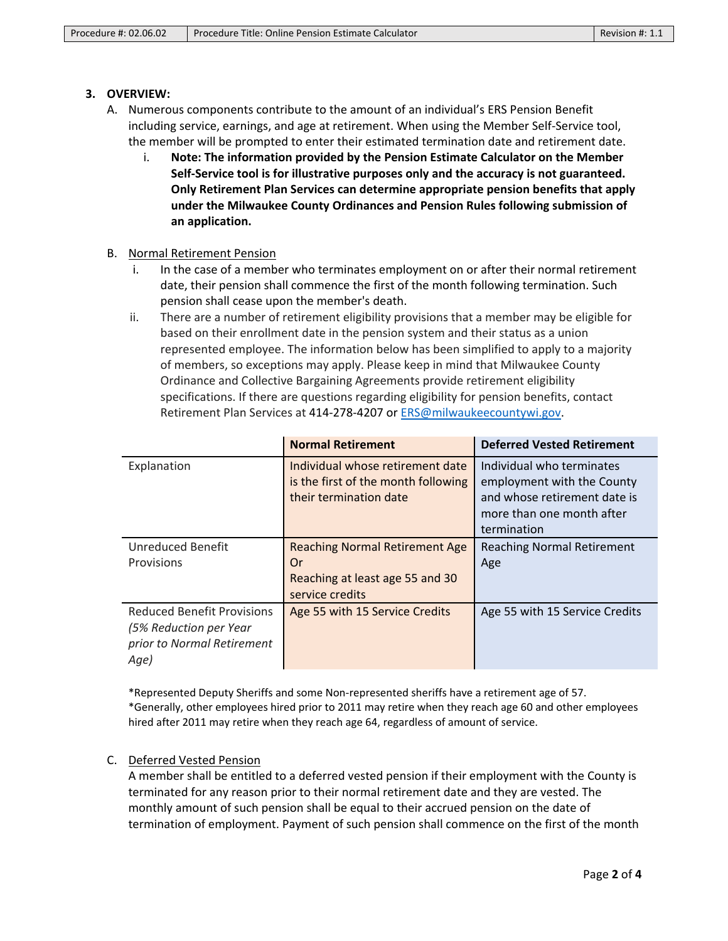#### **3. OVERVIEW:**

- A. Numerous components contribute to the amount of an individual's ERS Pension Benefit including service, earnings, and age at retirement. When using the Member Self-Service tool, the member will be prompted to enter their estimated termination date and retirement date.
	- i. **Note: The information provided by the Pension Estimate Calculator on the Member Self-Service tool is for illustrative purposes only and the accuracy is not guaranteed. Only Retirement Plan Services can determine appropriate pension benefits that apply under the Milwaukee County Ordinances and Pension Rules following submission of an application.**
- B. Normal Retirement Pension
	- i. In the case of a member who terminates employment on or after their normal retirement date, their pension shall commence the first of the month following termination. Such pension shall cease upon the member's death.
	- ii. There are a number of retirement eligibility provisions that a member may be eligible for based on their enrollment date in the pension system and their status as a union represented employee. The information below has been simplified to apply to a majority of members, so exceptions may apply. Please keep in mind that Milwaukee County Ordinance and Collective Bargaining Agreements provide retirement eligibility specifications. If there are questions regarding eligibility for pension benefits, contact Retirement Plan Services at 414-278-4207 or [ERS@milwaukeecountywi.gov.](mailto:ERS@milwaukeecountywi.gov)

|                                                                                                   | <b>Normal Retirement</b>                                                                          | <b>Deferred Vested Retirement</b>                                                                                                   |
|---------------------------------------------------------------------------------------------------|---------------------------------------------------------------------------------------------------|-------------------------------------------------------------------------------------------------------------------------------------|
| Explanation                                                                                       | Individual whose retirement date<br>is the first of the month following<br>their termination date | Individual who terminates<br>employment with the County<br>and whose retirement date is<br>more than one month after<br>termination |
| <b>Unreduced Benefit</b>                                                                          | <b>Reaching Normal Retirement Age</b>                                                             | <b>Reaching Normal Retirement</b>                                                                                                   |
| Provisions                                                                                        | Or                                                                                                | Age                                                                                                                                 |
|                                                                                                   | Reaching at least age 55 and 30<br>service credits                                                |                                                                                                                                     |
| <b>Reduced Benefit Provisions</b><br>(5% Reduction per Year<br>prior to Normal Retirement<br>Age) | Age 55 with 15 Service Credits                                                                    | Age 55 with 15 Service Credits                                                                                                      |

\*Represented Deputy Sheriffs and some Non-represented sheriffs have a retirement age of 57. \*Generally, other employees hired prior to 2011 may retire when they reach age 60 and other employees hired after 2011 may retire when they reach age 64, regardless of amount of service.

## C. Deferred Vested Pension

A member shall be entitled to a deferred vested pension if their employment with the County is terminated for any reason prior to their normal retirement date and they are vested. The monthly amount of such pension shall be equal to their accrued pension on the date of termination of employment. Payment of such pension shall commence on the first of the month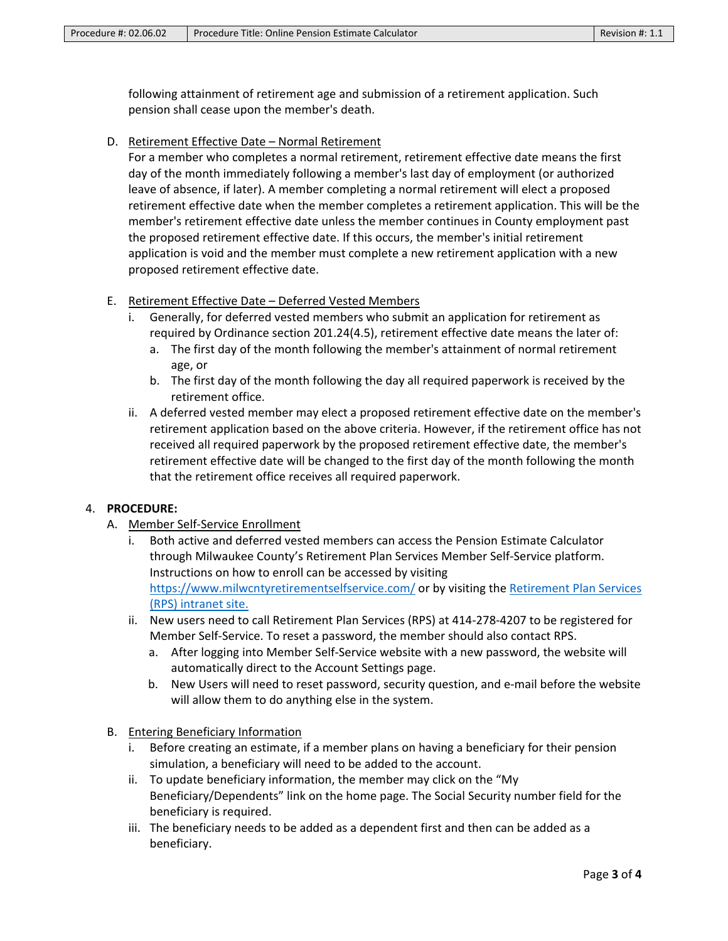following attainment of retirement age and submission of a retirement application. Such pension shall cease upon the member's death.

D. Retirement Effective Date – Normal Retirement

For a member who completes a normal retirement, retirement effective date means the first day of the month immediately following a member's last day of employment (or authorized leave of absence, if later). A member completing a normal retirement will elect a proposed retirement effective date when the member completes a retirement application. This will be the member's retirement effective date unless the member continues in County employment past the proposed retirement effective date. If this occurs, the member's initial retirement application is void and the member must complete a new retirement application with a new proposed retirement effective date.

- E. Retirement Effective Date Deferred Vested Members
	- i. Generally, for deferred vested members who submit an application for retirement as required by Ordinance section 201.24(4.5), retirement effective date means the later of:
		- a. The first day of the month following the member's attainment of normal retirement age, or
		- b. The first day of the month following the day all required paperwork is received by the retirement office.
	- ii. A deferred vested member may elect a proposed retirement effective date on the member's retirement application based on the above criteria. However, if the retirement office has not received all required paperwork by the proposed retirement effective date, the member's retirement effective date will be changed to the first day of the month following the month that the retirement office receives all required paperwork.

## 4. **PROCEDURE:**

- A. Member Self-Service Enrollment
	- Both active and deferred vested members can access the Pension Estimate Calculator through Milwaukee County's Retirement Plan Services Member Self-Service platform. Instructions on how to enroll can be accessed by visiting <https://www.milwcntyretirementselfservice.com/> or by visiting the [Retirement Plan Services](https://countyconnect.milwaukeecountywi.gov/MCINT/Human-Resources/Retirement-Plan-Services)  [\(RPS\) intranet site.](https://countyconnect.milwaukeecountywi.gov/MCINT/Human-Resources/Retirement-Plan-Services)
	- ii. New users need to call Retirement Plan Services (RPS) at 414-278-4207 to be registered for Member Self-Service. To reset a password, the member should also contact RPS.
		- a. After logging into Member Self-Service website with a new password, the website will automatically direct to the Account Settings page.
		- b. New Users will need to reset password, security question, and e-mail before the website will allow them to do anything else in the system.
- B. Entering Beneficiary Information
	- i. Before creating an estimate, if a member plans on having a beneficiary for their pension simulation, a beneficiary will need to be added to the account.
	- ii. To update beneficiary information, the member may click on the "My Beneficiary/Dependents" link on the home page. The Social Security number field for the beneficiary is required.
	- iii. The beneficiary needs to be added as a dependent first and then can be added as a beneficiary.